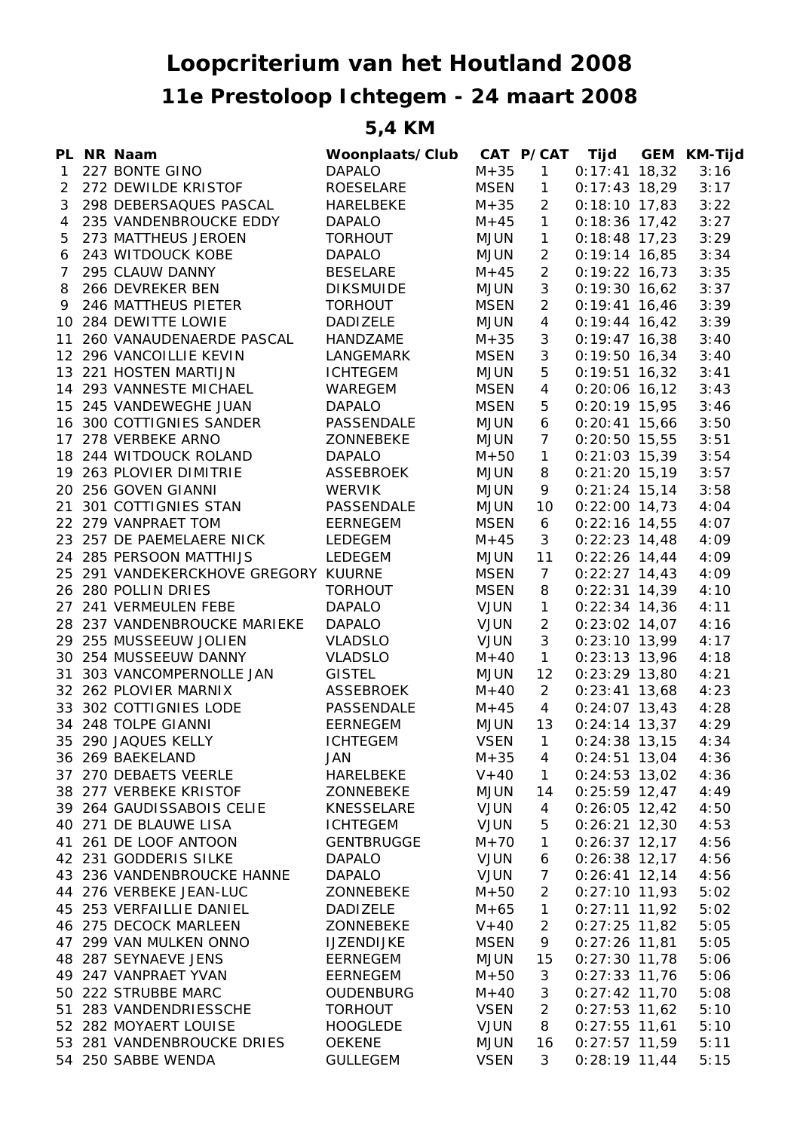## **11e Prestoloop Ichtegem - 24 maart 2008 Loopcriterium van het Houtland 2008**

## **5,4 KM**

|                | PL NR Naam                           | Woonplaats/Club   |             | CAT P/CAT      |                 | Tijd GEM KM-Tijd |
|----------------|--------------------------------------|-------------------|-------------|----------------|-----------------|------------------|
| $\mathbf{1}$   | 227 BONTE GINO                       | <b>DAPALO</b>     | $M + 35$    | $\mathbf{1}$   | $0:17:41$ 18,32 | 3:16             |
| $\overline{2}$ | 272 DEWILDE KRISTOF                  | ROESELARE         | MSEN        | 1              | $0:17:43$ 18,29 | 3:17             |
| 3              | 298 DEBERSAQUES PASCAL               | HARELBEKE         | $M + 35$    | $\overline{2}$ | $0:18:10$ 17,83 | 3:22             |
| 4              | 235 VANDENBROUCKE EDDY               | <b>DAPALO</b>     | $M + 45$    | $\mathbf{1}$   | $0:18:36$ 17,42 | 3:27             |
| 5              | 273 MATTHEUS JEROEN                  | <b>TORHOUT</b>    | <b>MJUN</b> | $\mathbf{1}$   | $0:18:48$ 17,23 | 3:29             |
| 6              | 243 WITDOUCK KOBE                    | <b>DAPALO</b>     | MJUN        | $\overline{2}$ | $0:19:14$ 16,85 | 3:34             |
| $\overline{7}$ | 295 CLAUW DANNY                      | <b>BESELARE</b>   | $M + 45$    | $\overline{2}$ | $0:19:22$ 16,73 | 3:35             |
| 8              | 266 DEVREKER BEN                     | <b>DIKSMUIDE</b>  | <b>MJUN</b> | 3              | $0:19:30$ 16,62 | 3:37             |
| 9              | 246 MATTHEUS PIETER                  | <b>TORHOUT</b>    | <b>MSEN</b> | $\overline{2}$ | $0:19:41$ 16,46 | 3:39             |
|                | 10 284 DEWITTE LOWIE                 | <b>DADIZELE</b>   | <b>MJUN</b> | $\overline{4}$ | $0:19:44$ 16,42 | 3:39             |
|                | 11 260 VANAUDENAERDE PASCAL          | HANDZAME          | $M + 35$    | 3              | $0:19:47$ 16,38 | 3:40             |
|                | 12 296 VANCOILLIE KEVIN              | LANGEMARK         | <b>MSEN</b> | 3              | $0:19:50$ 16,34 | 3:40             |
|                | 13 221 HOSTEN MARTIJN                | <b>ICHTEGEM</b>   | <b>MJUN</b> | 5              | $0:19:51$ 16,32 | 3:41             |
|                | 14 293 VANNESTE MICHAEL              | WAREGEM           | <b>MSEN</b> | $\overline{4}$ | $0:20:06$ 16,12 | 3:43             |
|                | 15 245 VANDEWEGHE JUAN               | <b>DAPALO</b>     | <b>MSEN</b> | 5              | $0:20:19$ 15,95 | 3:46             |
|                | 16 300 COTTIGNIES SANDER             | PASSENDALE        | <b>MJUN</b> | 6              | $0:20:41$ 15,66 | 3:50             |
|                | 17 278 VERBEKE ARNO                  | ZONNEBEKE         | <b>MJUN</b> | $\overline{7}$ | $0:20:50$ 15,55 | 3:51             |
|                | 18 244 WITDOUCK ROLAND               | <b>DAPALO</b>     | $M+50$      | $\mathbf{1}$   | $0:21:03$ 15,39 | 3:54             |
|                | 19 263 PLOVIER DIMITRIE              | ASSEBROEK         | MJUN        | 8              | $0:21:20$ 15,19 | 3:57             |
|                | 20 256 GOVEN GIANNI                  | <b>WERVIK</b>     | <b>MJUN</b> | 9              | $0:21:24$ 15,14 | 3:58             |
|                | 21 301 COTTIGNIES STAN               | PASSENDALE        | <b>MJUN</b> | 10             | $0:22:00$ 14,73 | 4:04             |
|                | 22 279 VANPRAET TOM                  | EERNEGEM          | <b>MSEN</b> | 6              | $0:22:16$ 14,55 | 4:07             |
|                | 23 257 DE PAEMELAERE NICK            | LEDEGEM           | $M + 45$    | 3              | $0:22:23$ 14,48 | 4:09             |
|                | 24 285 PERSOON MATTHIJS              | LEDEGEM           | MJUN        | 11             | $0:22:26$ 14,44 | 4:09             |
|                | 25 291 VANDEKERCKHOVE GREGORY KUURNE |                   | <b>MSEN</b> | $\overline{7}$ | $0:22:27$ 14,43 | 4:09             |
|                | 26 280 POLLIN DRIES                  | <b>TORHOUT</b>    | <b>MSEN</b> | 8              | $0:22:31$ 14,39 | 4:10             |
|                | 27 241 VERMEULEN FEBE                | <b>DAPALO</b>     | <b>VJUN</b> | $\mathbf{1}$   | $0:22:34$ 14,36 | 4:11             |
|                | 28 237 VANDENBROUCKE MARIEKE         | <b>DAPALO</b>     | <b>VJUN</b> | $\overline{2}$ | $0:23:02$ 14,07 | 4:16             |
|                | 29 255 MUSSEEUW JOLIEN               | VLADSLO           | <b>VJUN</b> | $\mathfrak{Z}$ | $0:23:10$ 13,99 | 4:17             |
|                | 30 254 MUSSEEUW DANNY                | <b>VLADSLO</b>    | $M + 40$    | $\mathbf{1}$   | $0:23:13$ 13,96 | 4:18             |
|                | 31 303 VANCOMPERNOLLE JAN            | <b>GISTEL</b>     | <b>MJUN</b> | 12             | $0:23:29$ 13,80 | 4:21             |
|                | 32 262 PLOVIER MARNIX                | ASSEBROEK         | $M + 40$    | $\overline{2}$ | $0:23:41$ 13,68 | 4:23             |
|                | 33 302 COTTIGNIES LODE               | PASSENDALE        | $M + 45$    | $\overline{4}$ | $0:24:07$ 13,43 | 4:28             |
|                | 34 248 TOLPE GIANNI                  | EERNEGEM          | MJUN        | 13             | $0:24:14$ 13,37 | 4:29             |
|                | 35 290 JAQUES KELLY                  | <b>ICHTEGEM</b>   | <b>VSEN</b> | $\mathbf{1}$   | $0:24:38$ 13,15 | 4:34             |
|                | 36 269 BAEKELAND                     | JAN               | $M + 35$    | 4              | $0:24:51$ 13,04 | 4:36             |
|                | 37 270 DEBAETS VEERLE                | HARELBEKE         | $V + 40$    | $\mathbf{1}$   | $0:24:53$ 13,02 | 4:36             |
|                | 38 277 VERBEKE KRISTOF               | ZONNEBEKE         | <b>MJUN</b> | 14             | $0:25:59$ 12,47 | 4:49             |
|                | 39 264 GAUDISSABOIS CELIE            | KNESSELARE        | <b>VJUN</b> | 4              | $0:26:05$ 12,42 | 4:50             |
|                | 40 271 DE BLAUWE LISA                | <b>ICHTEGEM</b>   | <b>VJUN</b> | 5              | $0:26:21$ 12,30 | 4:53             |
|                | 41 261 DE LOOF ANTOON                | <b>GENTBRUGGE</b> | $M + 70$    | $\mathbf{1}$   | $0:26:37$ 12,17 | 4:56             |
|                | 42 231 GODDERIS SILKE                | <b>DAPALO</b>     | <b>VJUN</b> | 6              | $0:26:38$ 12,17 | 4:56             |
|                | 43 236 VANDENBROUCKE HANNE           | <b>DAPALO</b>     | <b>VJUN</b> | $\overline{7}$ | $0:26:41$ 12,14 | 4:56             |
|                | 44 276 VERBEKE JEAN-LUC              | ZONNEBEKE         | $M + 50$    | 2              | $0:27:10$ 11,93 | 5:02             |
|                | 45 253 VERFAILLIE DANIEL             | DADIZELE          | $M + 65$    | $\mathbf{1}$   | $0:27:11$ 11,92 | 5:02             |
|                | 46 275 DECOCK MARLEEN                | ZONNEBEKE         | $V + 40$    | 2              | $0:27:25$ 11,82 | 5:05             |
|                | 47 299 VAN MULKEN ONNO               | <b>IJZENDIJKE</b> | <b>MSEN</b> | 9              | $0:27:26$ 11,81 | 5:05             |
|                | 48 287 SEYNAEVE JENS                 | <b>EERNEGEM</b>   | <b>MJUN</b> | 15             | $0:27:30$ 11,78 | 5:06             |
|                | 49 247 VANPRAET YVAN                 | <b>EERNEGEM</b>   | $M + 50$    | 3              | $0:27:33$ 11,76 | 5:06             |
|                | 50 222 STRUBBE MARC                  | OUDENBURG         | $M + 40$    | 3              | $0:27:42$ 11,70 | 5:08             |
|                | 51 283 VANDENDRIESSCHE               | <b>TORHOUT</b>    | <b>VSEN</b> | $\overline{2}$ | $0:27:53$ 11,62 | 5:10             |
|                | 52 282 MOYAERT LOUISE                | <b>HOOGLEDE</b>   | <b>VJUN</b> | 8              | $0:27:55$ 11,61 | 5:10             |
|                | 53 281 VANDENBROUCKE DRIES           | <b>OEKENE</b>     | <b>MJUN</b> | 16             | $0:27:57$ 11,59 | 5:11             |
|                | 54 250 SABBE WENDA                   | <b>GULLEGEM</b>   | <b>VSEN</b> | 3              | $0:28:19$ 11,44 | 5:15             |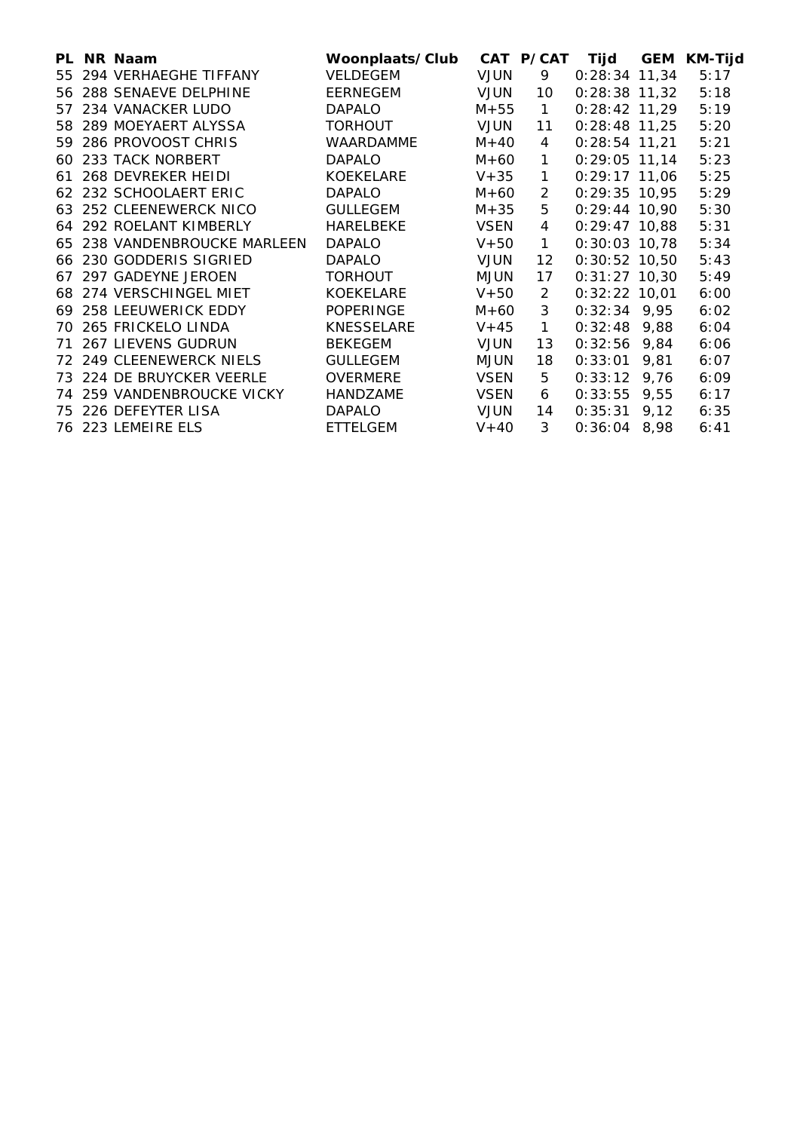|     | PL NR Naam                 | Woonplaats/Club  |             | CAT P/CAT      | Tijd            | <b>GEM</b> | <b>KM-Tijd</b> |
|-----|----------------------------|------------------|-------------|----------------|-----------------|------------|----------------|
| 55  | 294 VERHAEGHE TIFFANY      | VELDEGEM         | <b>VJUN</b> | 9              | $0:28:34$ 11,34 |            | 5:17           |
|     | 56 288 SENAEVE DELPHINE    | EERNEGEM         | <b>VJUN</b> | 10             | $0:28:38$ 11,32 |            | 5:18           |
| 57  | 234 VANACKER LUDO          | <b>DAPALO</b>    | $M + 55$    | $\mathbf{1}$   | $0:28:42$ 11,29 |            | 5:19           |
|     | 58 289 MOEYAERT ALYSSA     | <b>TORHOUT</b>   | <b>VJUN</b> | 11             | $0:28:48$ 11,25 |            | 5:20           |
| 59. | 286 PROVOOST CHRIS         | <b>WAARDAMME</b> | $M+40$      | $\overline{4}$ | $0:28:54$ 11,21 |            | 5:21           |
| 60  | 233 TACK NORBERT           | <b>DAPALO</b>    | $M + 60$    | $\mathbf{1}$   | $0:29:05$ 11,14 |            | 5:23           |
| 61  | 268 DEVREKER HEIDI         | <b>KOEKELARE</b> | $V+35$      | $\mathbf{1}$   | $0:29:17$ 11,06 |            | 5:25           |
|     | 62 232 SCHOOLAERT ERIC     | <b>DAPALO</b>    | $M + 60$    | $\mathcal{P}$  | $0:29:35$ 10,95 |            | 5:29           |
|     | 63 252 CLEENEWERCK NICO    | <b>GULLEGEM</b>  | M+35        | 5              | $0:29:44$ 10,90 |            | 5:30           |
|     | 64 292 ROELANT KIMBERLY    | HARELBEKE        | <b>VSEN</b> | 4              | $0:29:47$ 10,88 |            | 5:31           |
| 65  | 238 VANDENBROUCKE MARLEEN  | <b>DAPALO</b>    | $V+50$      | $\mathbf{1}$   | $0:30:03$ 10.78 |            | 5:34           |
| 66  | 230 GODDERIS SIGRIED       | <b>DAPALO</b>    | <b>VJUN</b> | 12             | $0:30:52$ 10,50 |            | 5:43           |
| 67. | 297 GADEYNE JEROEN         | <b>TORHOUT</b>   | <b>MJUN</b> | 17             | $0:31:27$ 10,30 |            | 5:49           |
|     | 68 274 VERSCHINGEL MIET    | <b>KOEKELARE</b> | $V + 50$    | 2              | $0:32:22$ 10,01 |            | 6:00           |
|     | 69 258 LEEUWERICK EDDY     | <b>POPERINGE</b> | $M + 60$    | 3              | $0:32:34$ 9,95  |            | 6:02           |
| 70. | 265 FRICKELO LINDA         | KNESSELARE       | $V + 45$    | $\mathbf{1}$   | $0:32:48$ 9,88  |            | 6:04           |
| 71  | <b>267 LIEVENS GUDRUN</b>  | <b>BEKEGEM</b>   | <b>VJUN</b> | 13             | 0:32:56         | 9,84       | 6:06           |
|     | 72 249 CLEENEWERCK NIELS   | <b>GULLEGEM</b>  | <b>MJUN</b> | 18             | 0:33:01         | 9,81       | 6:07           |
|     | 73 224 DE BRUYCKER VEERLE  | <b>OVERMERE</b>  | <b>VSEN</b> | 5              | 0:33:12         | 9,76       | 6:09           |
|     | 74 259 VANDENBROUCKE VICKY | HANDZAME         | <b>VSEN</b> | 6              | 0:33:55         | 9,55       | 6:17           |
| 75  | 226 DEFEYTER LISA          | <b>DAPALO</b>    | <b>VJUN</b> | 14             | 0:35:31         | 9,12       | 6:35           |
|     | 76 223 LEMEIRE ELS         | <b>ETTELGEM</b>  | $V + 40$    | 3              | 0:36:04         | 8,98       | 6:41           |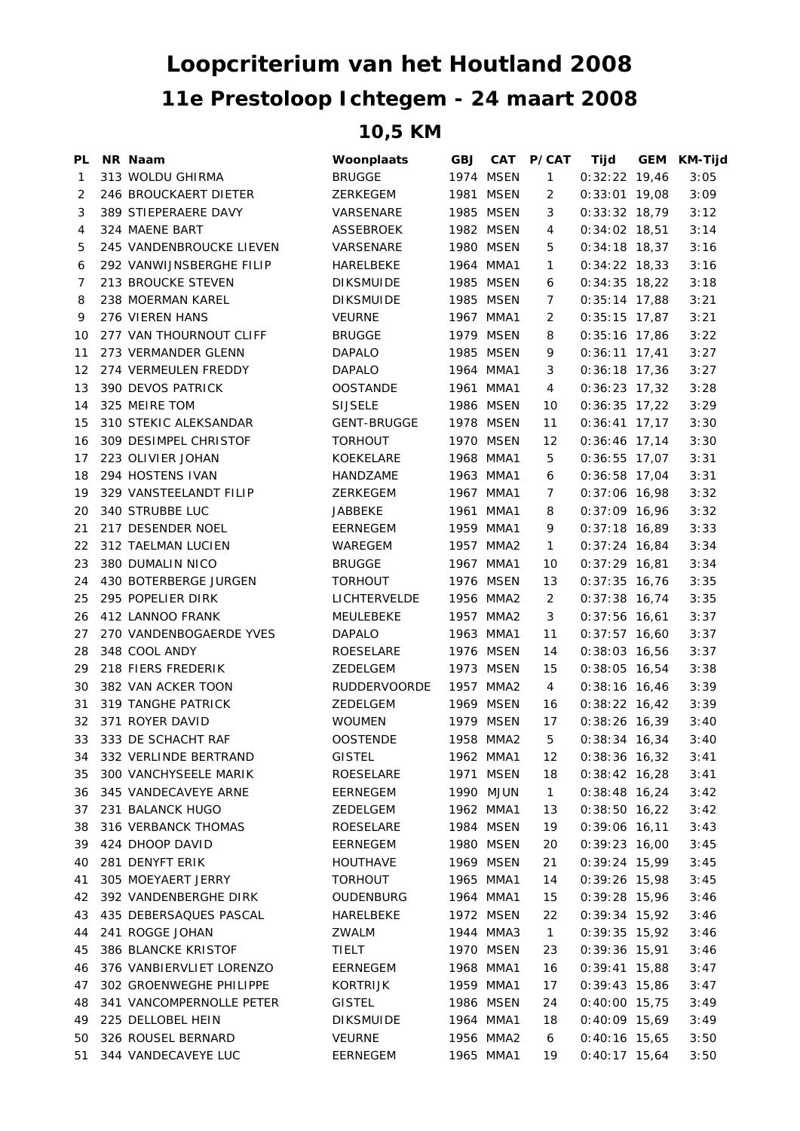## **11e Prestoloop Ichtegem - 24 maart 2008 Loopcriterium van het Houtland 2008**

## **10,5 KM**

| <b>PL</b> | NR Naam                  | Woonplaats          | <b>GBJ</b> |           | CAT P/CAT      | Tijd            | GEM | KM-Tijd |
|-----------|--------------------------|---------------------|------------|-----------|----------------|-----------------|-----|---------|
| 1         | 313 WOLDU GHIRMA         | <b>BRUGGE</b>       |            | 1974 MSEN | $\mathbf{1}$   | $0:32:22$ 19,46 |     | 3:05    |
| 2         | 246 BROUCKAERT DIETER    | ZERKEGEM            |            | 1981 MSEN | 2              | $0:33:01$ 19,08 |     | 3:09    |
| 3         | 389 STIEPERAERE DAVY     | VARSENARE           |            | 1985 MSEN | 3              | $0:33:32$ 18,79 |     | 3:12    |
| 4         | 324 MAENE BART           | ASSEBROEK           |            | 1982 MSEN | 4              | $0:34:02$ 18,51 |     | 3:14    |
| 5         | 245 VANDENBROUCKE LIEVEN | VARSENARE           |            | 1980 MSEN | 5              | $0:34:18$ 18,37 |     | 3:16    |
| 6         | 292 VANWIJNSBERGHE FILIP | HARELBEKE           |            | 1964 MMA1 | $\mathbf{1}$   | $0:34:22$ 18,33 |     | 3:16    |
| 7         | 213 BROUCKE STEVEN       | <b>DIKSMUIDE</b>    |            | 1985 MSEN | 6              | $0:34:35$ 18,22 |     | 3:18    |
| 8         | 238 MOERMAN KAREL        | <b>DIKSMUIDE</b>    |            | 1985 MSEN | 7              | $0:35:14$ 17,88 |     | 3:21    |
| 9         | 276 VIEREN HANS          | <b>VEURNE</b>       |            | 1967 MMA1 | 2              | $0:35:15$ 17,87 |     | 3:21    |
| 10        | 277 VAN THOURNOUT CLIFF  | <b>BRUGGE</b>       |            | 1979 MSEN | 8              | $0:35:16$ 17,86 |     | 3:22    |
| 11        | 273 VERMANDER GLENN      | <b>DAPALO</b>       |            | 1985 MSEN | 9              | $0:36:11$ 17,41 |     | 3:27    |
| 12        | 274 VERMEULEN FREDDY     | DAPALO              |            | 1964 MMA1 | 3              | $0:36:18$ 17,36 |     | 3:27    |
| 13        | 390 DEVOS PATRICK        | <b>OOSTANDE</b>     |            | 1961 MMA1 | 4              | $0:36:23$ 17,32 |     | 3:28    |
| 14        | 325 MEIRE TOM            | <b>SIJSELE</b>      |            | 1986 MSEN | 10             | $0:36:35$ 17,22 |     | 3:29    |
| 15        | 310 STEKIC ALEKSANDAR    | <b>GENT-BRUGGE</b>  |            | 1978 MSEN | 11             | $0:36:41$ 17,17 |     | 3:30    |
| 16        | 309 DESIMPEL CHRISTOF    | <b>TORHOUT</b>      |            | 1970 MSEN | 12             | $0:36:46$ 17,14 |     | 3:30    |
| 17        | 223 OLIVIER JOHAN        | KOEKELARE           |            | 1968 MMA1 | 5              | $0:36:55$ 17,07 |     | 3:31    |
| 18        | 294 HOSTENS IVAN         | HANDZAME            |            | 1963 MMA1 | 6              | $0:36:58$ 17,04 |     | 3:31    |
| 19        | 329 VANSTEELANDT FILIP   | <b>ZERKEGEM</b>     |            | 1967 MMA1 | 7              | $0:37:06$ 16,98 |     | 3:32    |
| 20        | 340 STRUBBE LUC          | <b>JABBEKE</b>      |            | 1961 MMA1 | 8              | $0:37:09$ 16,96 |     | 3:32    |
| 21        | 217 DESENDER NOEL        | EERNEGEM            |            | 1959 MMA1 | 9              | $0:37:18$ 16,89 |     | 3:33    |
| 22        | 312 TAELMAN LUCIEN       | WAREGEM             |            | 1957 MMA2 | $\mathbf{1}$   | $0:37:24$ 16,84 |     | 3:34    |
| 23        | 380 DUMALIN NICO         | <b>BRUGGE</b>       |            | 1967 MMA1 | 10             | $0:37:29$ 16,81 |     | 3:34    |
| 24        | 430 BOTERBERGE JURGEN    | <b>TORHOUT</b>      |            | 1976 MSEN | 13             | $0:37:35$ 16,76 |     | 3:35    |
| 25        | 295 POPELIER DIRK        | LICHTERVELDE        |            | 1956 MMA2 | $\overline{2}$ | $0:37:38$ 16,74 |     | 3:35    |
| 26        | 412 LANNOO FRANK         | MEULEBEKE           |            | 1957 MMA2 | 3              | $0:37:56$ 16,61 |     | 3:37    |
| 27        | 270 VANDENBOGAERDE YVES  | <b>DAPALO</b>       |            | 1963 MMA1 | 11             | $0:37:57$ 16,60 |     | 3:37    |
| 28        | 348 COOL ANDY            | ROESELARE           |            | 1976 MSEN | 14             | $0:38:03$ 16,56 |     | 3:37    |
| 29        | 218 FIERS FREDERIK       | ZEDELGEM            |            | 1973 MSEN | 15             | $0:38:05$ 16,54 |     | 3:38    |
| 30        | 382 VAN ACKER TOON       | <b>RUDDERVOORDE</b> |            | 1957 MMA2 | 4              | $0:38:16$ 16,46 |     | 3:39    |
| 31        | 319 TANGHE PATRICK       | ZEDELGEM            |            | 1969 MSEN | 16             | $0:38:22$ 16,42 |     | 3:39    |
| 32        | 371 ROYER DAVID          | <b>WOUMEN</b>       |            | 1979 MSEN | 17             | $0:38:26$ 16,39 |     | 3:40    |
|           | 33 333 DE SCHACHT RAF    | OOSTENDE            |            | 1958 MMA2 | 5              | $0:38:34$ 16,34 |     | 3:40    |
|           | 34 332 VERLINDE BERTRAND | <b>GISTEL</b>       |            | 1962 MMA1 | 12             | 0:38:36 16,32   |     | 3:41    |
| 35        | 300 VANCHYSEELE MARIK    | ROESELARE           |            | 1971 MSEN | 18             | $0:38:42$ 16,28 |     | 3:41    |
| 36        | 345 VANDECAVEYE ARNE     | EERNEGEM            |            | 1990 MJUN | $\mathbf{1}$   | $0:38:48$ 16,24 |     | 3:42    |
| 37        | 231 BALANCK HUGO         | ZEDELGEM            |            | 1962 MMA1 | 13             | $0:38:50$ 16,22 |     | 3:42    |
| 38        | 316 VERBANCK THOMAS      | <b>ROESELARE</b>    |            | 1984 MSEN | 19             | $0:39:06$ 16,11 |     | 3:43    |
| 39        | 424 DHOOP DAVID          | EERNEGEM            |            | 1980 MSEN | 20             | $0:39:23$ 16,00 |     | 3:45    |
| 40        | 281 DENYFT ERIK          | <b>HOUTHAVE</b>     |            | 1969 MSEN | 21             | $0:39:24$ 15,99 |     | 3:45    |
| 41        | 305 MOEYAERT JERRY       | <b>TORHOUT</b>      |            | 1965 MMA1 | 14             | $0:39:26$ 15,98 |     | 3:45    |
| 42        | 392 VANDENBERGHE DIRK    | <b>OUDENBURG</b>    |            | 1964 MMA1 | 15             | $0:39:28$ 15,96 |     | 3:46    |
| 43        | 435 DEBERSAQUES PASCAL   | HARELBEKE           |            | 1972 MSEN | 22             | $0:39:34$ 15,92 |     | 3:46    |
| 44        | 241 ROGGE JOHAN          | ZWALM               |            | 1944 MMA3 | $\mathbf{1}$   | $0:39:35$ 15,92 |     | 3:46    |
|           | 386 BLANCKE KRISTOF      |                     |            | 1970 MSEN | 23             |                 |     |         |
| 45        |                          | TIELT               |            |           |                | $0:39:36$ 15,91 |     | 3:46    |
| 46        | 376 VANBIERVLIET LORENZO | EERNEGEM            |            | 1968 MMA1 | 16             | $0:39:41$ 15,88 |     | 3:47    |
| 47        | 302 GROENWEGHE PHILIPPE  | KORTRIJK            |            | 1959 MMA1 | 17             | $0:39:43$ 15,86 |     | 3:47    |
| 48        | 341 VANCOMPERNOLLE PETER | <b>GISTEL</b>       |            | 1986 MSEN | 24             | $0:40:00$ 15,75 |     | 3:49    |
| 49        | 225 DELLOBEL HEIN        | <b>DIKSMUIDE</b>    |            | 1964 MMA1 | 18             | $0:40:09$ 15,69 |     | 3:49    |
| 50        | 326 ROUSEL BERNARD       | <b>VEURNE</b>       |            | 1956 MMA2 | 6              | $0:40:16$ 15,65 |     | 3:50    |
| 51        | 344 VANDECAVEYE LUC      | EERNEGEM            |            | 1965 MMA1 | 19             | $0:40:17$ 15,64 |     | 3:50    |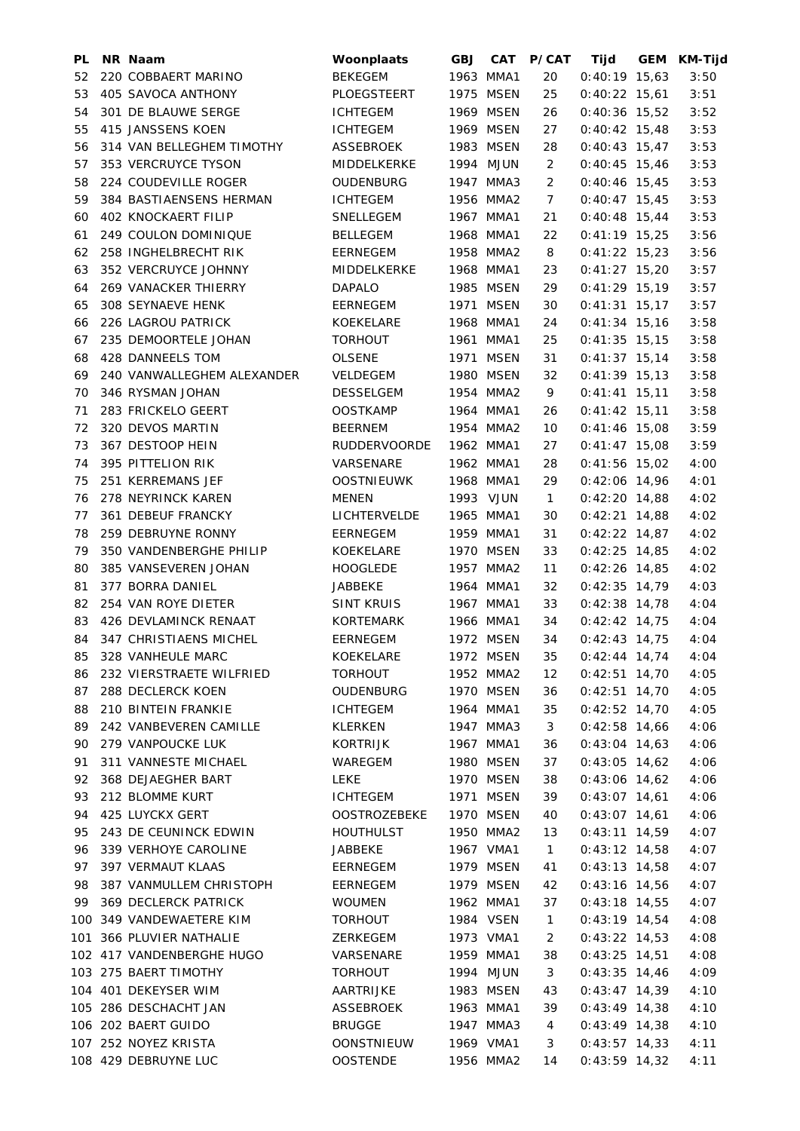| PL | NR Naam                     | Woonplaats          | <b>GBJ</b> | CAT       | <b>P/CAT</b>   | Tijd            | GEM KM-Tijd |
|----|-----------------------------|---------------------|------------|-----------|----------------|-----------------|-------------|
| 52 | 220 COBBAERT MARINO         | <b>BEKEGEM</b>      |            | 1963 MMA1 | 20             | $0:40:19$ 15,63 | 3:50        |
| 53 | 405 SAVOCA ANTHONY          | PLOEGSTEERT         |            | 1975 MSEN | 25             | $0:40:22$ 15,61 | 3:51        |
| 54 | 301 DE BLAUWE SERGE         | <b>ICHTEGEM</b>     |            | 1969 MSEN | 26             | $0:40:36$ 15,52 | 3:52        |
| 55 | 415 JANSSENS KOEN           | <b>ICHTEGEM</b>     |            | 1969 MSEN | 27             | $0:40:42$ 15,48 | 3:53        |
| 56 | 314 VAN BELLEGHEM TIMOTHY   | ASSEBROEK           |            | 1983 MSEN | 28             | $0:40:43$ 15,47 | 3:53        |
| 57 | 353 VERCRUYCE TYSON         | MIDDELKERKE         |            | 1994 MJUN | 2              | $0:40:45$ 15,46 | 3:53        |
| 58 | 224 COUDEVILLE ROGER        | <b>OUDENBURG</b>    |            | 1947 MMA3 | 2              | $0:40:46$ 15,45 | 3:53        |
| 59 | 384 BASTIAENSENS HERMAN     | <b>ICHTEGEM</b>     |            | 1956 MMA2 | $\overline{7}$ | $0:40:47$ 15,45 | 3:53        |
| 60 | <b>402 KNOCKAERT FILIP</b>  | SNELLEGEM           |            | 1967 MMA1 | 21             | $0:40:48$ 15,44 | 3:53        |
| 61 | 249 COULON DOMINIQUE        | <b>BELLEGEM</b>     |            | 1968 MMA1 | 22             | $0:41:19$ 15,25 | 3:56        |
| 62 | 258 INGHELBRECHT RIK        | <b>EERNEGEM</b>     |            | 1958 MMA2 | 8              | $0:41:22$ 15,23 | 3:56        |
| 63 | 352 VERCRUYCE JOHNNY        | MIDDELKERKE         |            | 1968 MMA1 | 23             | $0:41:27$ 15,20 | 3:57        |
| 64 | <b>269 VANACKER THIERRY</b> | <b>DAPALO</b>       |            | 1985 MSEN | 29             | $0:41:29$ 15,19 | 3:57        |
| 65 | 308 SEYNAEVE HENK           | EERNEGEM            |            | 1971 MSEN | 30             | $0:41:31$ 15,17 | 3:57        |
| 66 | 226 LAGROU PATRICK          | KOEKELARE           |            | 1968 MMA1 | 24             | $0:41:34$ 15,16 | 3:58        |
| 67 | 235 DEMOORTELE JOHAN        | <b>TORHOUT</b>      |            | 1961 MMA1 | 25             | $0:41:35$ 15,15 | 3:58        |
| 68 | 428 DANNEELS TOM            | <b>OLSENE</b>       |            | 1971 MSEN | 31             | $0:41:37$ 15,14 | 3:58        |
|    |                             |                     |            |           |                |                 |             |
| 69 | 240 VANWALLEGHEM ALEXANDER  | VELDEGEM            |            | 1980 MSEN | 32             | $0:41:39$ 15,13 | 3:58        |
| 70 | 346 RYSMAN JOHAN            | DESSELGEM           |            | 1954 MMA2 | 9              | $0:41:41$ 15,11 | 3:58        |
| 71 | 283 FRICKELO GEERT          | <b>OOSTKAMP</b>     |            | 1964 MMA1 | 26             | $0:41:42$ 15,11 | 3:58        |
| 72 | 320 DEVOS MARTIN            | <b>BEERNEM</b>      |            | 1954 MMA2 | 10             | $0:41:46$ 15,08 | 3:59        |
| 73 | 367 DESTOOP HEIN            | <b>RUDDERVOORDE</b> |            | 1962 MMA1 | 27             | $0:41:47$ 15,08 | 3:59        |
| 74 | 395 PITTELION RIK           | VARSENARE           |            | 1962 MMA1 | 28             | $0:41:56$ 15,02 | 4:00        |
| 75 | 251 KERREMANS JEF           | <b>OOSTNIEUWK</b>   |            | 1968 MMA1 | 29             | 0:42:06 14,96   | 4:01        |
| 76 | 278 NEYRINCK KAREN          | MENEN               |            | 1993 VJUN | $\mathbf{1}$   | $0:42:20$ 14,88 | 4:02        |
| 77 | 361 DEBEUF FRANCKY          | <b>LICHTERVELDE</b> |            | 1965 MMA1 | 30             | $0:42:21$ 14,88 | 4:02        |
| 78 | 259 DEBRUYNE RONNY          | EERNEGEM            |            | 1959 MMA1 | 31             | $0:42:22$ 14,87 | 4:02        |
| 79 | 350 VANDENBERGHE PHILIP     | KOEKELARE           |            | 1970 MSEN | 33             | $0:42:25$ 14,85 | 4:02        |
| 80 | 385 VANSEVEREN JOHAN        | <b>HOOGLEDE</b>     |            | 1957 MMA2 | 11             | $0:42:26$ 14,85 | 4:02        |
| 81 | 377 BORRA DANIEL            | <b>JABBEKE</b>      |            | 1964 MMA1 | 32             | $0:42:35$ 14,79 | 4:03        |
| 82 | 254 VAN ROYE DIETER         | <b>SINT KRUIS</b>   |            | 1967 MMA1 | 33             | $0:42:38$ 14,78 | 4:04        |
| 83 | 426 DEVLAMINCK RENAAT       | <b>KORTEMARK</b>    |            | 1966 MMA1 | 34             | $0:42:42$ 14,75 | 4:04        |
| 84 | 347 CHRISTIAENS MICHEL      | <b>EERNEGEM</b>     |            | 1972 MSEN | 34             | $0:42:43$ 14,75 | 4:04        |
|    | 85 328 VANHEULE MARC        | KOEKELARE           |            | 1972 MSEN | 35             | $0:42:44$ 14,74 | 4:04        |
| 86 | 232 VIERSTRAETE WILFRIED    | <b>TORHOUT</b>      |            | 1952 MMA2 | 12             | $0:42:51$ 14,70 | 4:05        |
| 87 | 288 DECLERCK KOEN           | OUDENBURG           |            | 1970 MSEN | 36             | $0:42:51$ 14,70 | 4:05        |
| 88 | 210 BINTEIN FRANKIE         | <b>ICHTEGEM</b>     |            | 1964 MMA1 | 35             | $0:42:52$ 14,70 | 4:05        |
| 89 | 242 VANBEVEREN CAMILLE      | <b>KLERKEN</b>      |            | 1947 MMA3 | 3              | $0:42:58$ 14,66 | 4:06        |
| 90 | 279 VANPOUCKE LUK           | <b>KORTRIJK</b>     |            | 1967 MMA1 | 36             | $0:43:04$ 14,63 | 4:06        |
| 91 | 311 VANNESTE MICHAEL        | WAREGEM             |            | 1980 MSEN | 37             | $0:43:05$ 14,62 | 4:06        |
| 92 | 368 DEJAEGHER BART          | <b>LEKE</b>         |            | 1970 MSEN | 38             | $0:43:06$ 14,62 | 4:06        |
| 93 | 212 BLOMME KURT             | <b>ICHTEGEM</b>     |            | 1971 MSEN | 39             | $0:43:07$ 14,61 | 4:06        |
| 94 | 425 LUYCKX GERT             | <b>OOSTROZEBEKE</b> |            | 1970 MSEN | 40             | $0:43:07$ 14,61 | 4:06        |
| 95 | 243 DE CEUNINCK EDWIN       | <b>HOUTHULST</b>    |            | 1950 MMA2 | 13             | $0:43:11$ 14,59 | 4:07        |
| 96 | 339 VERHOYE CAROLINE        | <b>JABBEKE</b>      |            | 1967 VMA1 | $\mathbf{1}$   | $0:43:12$ 14,58 | 4:07        |
|    |                             |                     |            |           |                |                 |             |
| 97 | 397 VERMAUT KLAAS           | EERNEGEM            |            | 1979 MSEN | 41             | $0:43:13$ 14,58 | 4:07        |
| 98 | 387 VANMULLEM CHRISTOPH     | EERNEGEM            |            | 1979 MSEN | 42             | $0:43:16$ 14,56 | 4:07        |
| 99 | 369 DECLERCK PATRICK        | <b>WOUMEN</b>       |            | 1962 MMA1 | 37             | $0:43:18$ 14,55 | 4:07        |
|    | 100 349 VANDEWAETERE KIM    | <b>TORHOUT</b>      |            | 1984 VSEN | $\mathbf{1}$   | $0:43:19$ 14,54 | 4:08        |
|    | 101 366 PLUVIER NATHALIE    | ZERKEGEM            |            | 1973 VMA1 | $\overline{2}$ | $0:43:22$ 14,53 | 4:08        |
|    | 102 417 VANDENBERGHE HUGO   | VARSENARE           |            | 1959 MMA1 | 38             | $0:43:25$ 14,51 | 4:08        |
|    | 103 275 BAERT TIMOTHY       | <b>TORHOUT</b>      |            | 1994 MJUN | 3              | $0:43:35$ 14,46 | 4:09        |
|    | 104 401 DEKEYSER WIM        | AARTRIJKE           |            | 1983 MSEN | 43             | $0:43:47$ 14,39 | 4:10        |
|    | 105 286 DESCHACHT JAN       | ASSEBROEK           |            | 1963 MMA1 | 39             | $0:43:49$ 14,38 | 4:10        |
|    | 106 202 BAERT GUIDO         | <b>BRUGGE</b>       |            | 1947 MMA3 | 4              | $0:43:49$ 14,38 | 4:10        |
|    | 107 252 NOYEZ KRISTA        | <b>OONSTNIEUW</b>   |            | 1969 VMA1 | 3              | $0:43:57$ 14,33 | 4:11        |
|    | 108 429 DEBRUYNE LUC        | <b>OOSTENDE</b>     |            | 1956 MMA2 | 14             | $0:43:59$ 14,32 | 4:11        |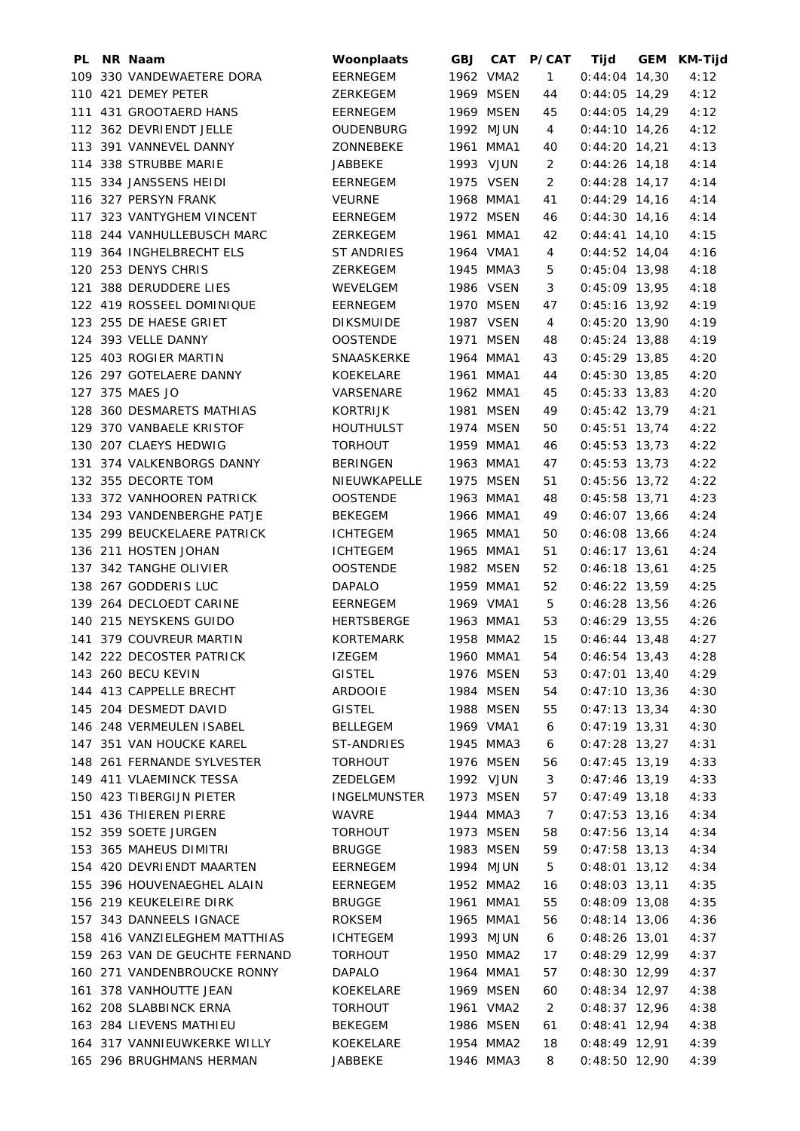| PL | NR Naam                        | Woonplaats          | <b>GBJ</b> |           | CAT P/CAT      | Tijd                  | GEM KM-Tijd |
|----|--------------------------------|---------------------|------------|-----------|----------------|-----------------------|-------------|
|    | 109 330 VANDEWAETERE DORA      | <b>EERNEGEM</b>     |            | 1962 VMA2 | $\mathbf{1}$   | $0:44:04$ 14,30       | 4:12        |
|    | 110 421 DEMEY PETER            | <b>ZERKEGEM</b>     |            | 1969 MSEN | 44             | $0:44:05$ 14,29       | 4:12        |
|    | 111 431 GROOTAERD HANS         | <b>EERNEGEM</b>     |            | 1969 MSEN | 45             | $0:44:05$ 14,29       | 4:12        |
|    | 112 362 DEVRIENDT JELLE        | <b>OUDENBURG</b>    |            | 1992 MJUN | 4              | $0:44:10$ 14,26       | 4:12        |
|    | 113 391 VANNEVEL DANNY         | ZONNEBEKE           |            | 1961 MMA1 | 40             | $0:44:20$ 14,21       | 4:13        |
|    | 114 338 STRUBBE MARIE          | <b>JABBEKE</b>      |            | 1993 VJUN | 2              | $0:44:26$ 14,18       | 4:14        |
|    | 115 334 JANSSENS HEIDI         | <b>EERNEGEM</b>     |            | 1975 VSEN | 2              | $0:44:28$ 14,17       | 4:14        |
|    | 116 327 PERSYN FRANK           | <b>VEURNE</b>       |            | 1968 MMA1 | 41             | $0:44:29$ 14,16       | 4:14        |
|    | 117 323 VANTYGHEM VINCENT      | EERNEGEM            |            | 1972 MSEN | 46             | $0:44:30$ 14,16       | 4:14        |
|    | 118 244 VANHULLEBUSCH MARC     | ZERKEGEM            |            | 1961 MMA1 | 42             | $0:44:41$ 14,10       | 4:15        |
|    | 119 364 INGHELBRECHT ELS       | <b>ST ANDRIES</b>   |            | 1964 VMA1 | 4              | $0:44:52$ 14,04       | 4:16        |
|    | 120 253 DENYS CHRIS            | ZERKEGEM            |            | 1945 MMA3 | 5              | $0:45:04$ 13,98       | 4:18        |
|    | 121 388 DERUDDERE LIES         | WEVELGEM            |            | 1986 VSEN | 3              | $0:45:09$ 13,95       | 4:18        |
|    | 122 419 ROSSEEL DOMINIQUE      | EERNEGEM            |            | 1970 MSEN | 47             | $0:45:16$ 13,92       | 4:19        |
|    | 123 255 DE HAESE GRIET         | <b>DIKSMUIDE</b>    |            | 1987 VSEN | 4              | $0:45:20$ 13,90       | 4:19        |
|    | 124 393 VELLE DANNY            | <b>OOSTENDE</b>     |            | 1971 MSEN | 48             | $0:45:24$ 13,88       | 4:19        |
|    | 125 403 ROGIER MARTIN          | SNAASKERKE          |            | 1964 MMA1 | 43             | $0:45:29$ 13,85       | 4:20        |
|    | 126 297 GOTELAERE DANNY        | KOEKELARE           |            | 1961 MMA1 | 44             | $0:45:30$ 13,85       | 4:20        |
|    | 127 375 MAES JO                | <b>VARSENARE</b>    |            | 1962 MMA1 | 45             | $0:45:33$ 13,83       | 4:20        |
|    | 128 360 DESMARETS MATHIAS      | <b>KORTRIJK</b>     |            | 1981 MSEN | 49             |                       | 4:21        |
|    |                                |                     |            | 1974 MSEN |                | $0:45:42$ 13,79       |             |
|    | 129 370 VANBAELE KRISTOF       | <b>HOUTHULST</b>    |            |           | 50             | $0:45:51$ 13,74       | 4:22        |
|    | 130 207 CLAEYS HEDWIG          | <b>TORHOUT</b>      |            | 1959 MMA1 | 46             | $0:45:53$ 13,73       | 4:22        |
|    | 131 374 VALKENBORGS DANNY      | <b>BERINGEN</b>     |            | 1963 MMA1 | 47             | $0:45:53$ 13,73       | 4:22        |
|    | 132 355 DECORTE TOM            | NIEUWKAPELLE        |            | 1975 MSEN | 51             | $0:45:56$ 13,72       | 4:22        |
|    | 133 372 VANHOOREN PATRICK      | <b>OOSTENDE</b>     |            | 1963 MMA1 | 48             | $0:45:58$ 13,71       | 4:23        |
|    | 134 293 VANDENBERGHE PATJE     | <b>BEKEGEM</b>      |            | 1966 MMA1 | 49             | $0:46:07$ 13,66       | 4:24        |
|    | 135 299 BEUCKELAERE PATRICK    | <b>ICHTEGEM</b>     |            | 1965 MMA1 | 50             | $0:46:08$ 13,66       | 4:24        |
|    | 136 211 HOSTEN JOHAN           | <b>ICHTEGEM</b>     |            | 1965 MMA1 | 51             | $0:46:17$ 13,61       | 4:24        |
|    | 137 342 TANGHE OLIVIER         | <b>OOSTENDE</b>     |            | 1982 MSEN | 52             | $0:46:18$ 13,61       | 4:25        |
|    | 138 267 GODDERIS LUC           | <b>DAPALO</b>       |            | 1959 MMA1 | 52             | $0:46:22$ 13,59       | 4:25        |
|    | 139 264 DECLOEDT CARINE        | EERNEGEM            |            | 1969 VMA1 | 5              | $0:46:28$ 13,56       | 4:26        |
|    | 140 215 NEYSKENS GUIDO         | HERTSBERGE          |            | 1963 MMA1 | 53             | $0:46:29$ 13,55       | 4:26        |
|    | 141 379 COUVREUR MARTIN        | KORTEMARK           |            | 1958 MMA2 | 15             | $0:46:44$ 13,48       | 4:27        |
|    | 142 222 DECOSTER PATRICK       | IZEGEM              |            | 1960 MMA1 |                | 54 0:46:54 13,43 4:28 |             |
|    | 143 260 BECU KEVIN             | <b>GISTEL</b>       |            | 1976 MSEN | 53             | $0:47:01$ 13,40       | 4:29        |
|    | 144 413 CAPPELLE BRECHT        | ARDOOIE             |            | 1984 MSEN | 54             | $0:47:10$ 13,36       | 4:30        |
|    | 145 204 DESMEDT DAVID          | <b>GISTEL</b>       |            | 1988 MSEN | 55             | $0:47:13$ 13,34       | 4:30        |
|    | 146 248 VERMEULEN ISABEL       | <b>BELLEGEM</b>     |            | 1969 VMA1 | 6              | $0:47:19$ 13,31       | 4:30        |
|    | 147 351 VAN HOUCKE KAREL       | ST-ANDRIES          |            | 1945 MMA3 | 6              | $0:47:28$ 13,27       | 4:31        |
|    | 148 261 FERNANDE SYLVESTER     | <b>TORHOUT</b>      |            | 1976 MSEN | 56             | $0:47:45$ 13,19       | 4:33        |
|    | 149 411 VLAEMINCK TESSA        | ZEDELGEM            |            | 1992 VJUN | 3              | $0:47:46$ 13,19       | 4:33        |
|    | 150 423 TIBERGIJN PIETER       | <b>INGELMUNSTER</b> |            | 1973 MSEN | 57             | $0:47:49$ 13,18       | 4:33        |
|    | 151 436 THIEREN PIERRE         | <b>WAVRE</b>        |            | 1944 MMA3 | 7 <sup>7</sup> | $0:47:53$ 13,16       | 4:34        |
|    | 152 359 SOETE JURGEN           | <b>TORHOUT</b>      |            | 1973 MSEN | 58             | $0:47:56$ 13,14       | 4:34        |
|    | 153 365 MAHEUS DIMITRI         | <b>BRUGGE</b>       |            | 1983 MSEN | 59             | $0:47:58$ 13,13       | 4:34        |
|    | 154 420 DEVRIENDT MAARTEN      | EERNEGEM            |            | 1994 MJUN | 5              | $0:48:01$ 13,12       | 4:34        |
|    | 155 396 HOUVENAEGHEL ALAIN     | EERNEGEM            |            | 1952 MMA2 | 16             | $0:48:03$ 13,11       | 4:35        |
|    | 156 219 KEUKELEIRE DIRK        | <b>BRUGGE</b>       |            | 1961 MMA1 | 55             | $0:48:09$ 13,08       | 4:35        |
|    | 157 343 DANNEELS IGNACE        | ROKSEM              |            | 1965 MMA1 | 56             | $0:48:14$ 13,06       | 4:36        |
|    | 158 416 VANZIELEGHEM MATTHIAS  | <b>ICHTEGEM</b>     |            | 1993 MJUN | 6              | $0:48:26$ 13,01       | 4:37        |
|    | 159 263 VAN DE GEUCHTE FERNAND | <b>TORHOUT</b>      |            | 1950 MMA2 | 17             | $0:48:29$ 12,99       | 4:37        |
|    | 160 271 VANDENBROUCKE RONNY    | <b>DAPALO</b>       |            | 1964 MMA1 | 57             | $0:48:30$ 12,99       | 4:37        |
|    | 161 378 VANHOUTTE JEAN         | KOEKELARE           |            | 1969 MSEN | 60             | $0:48:34$ 12,97       | 4:38        |
|    | 162 208 SLABBINCK ERNA         | <b>TORHOUT</b>      |            | 1961 VMA2 | $\overline{2}$ | $0:48:37$ 12,96       | 4:38        |
|    | 163 284 LIEVENS MATHIEU        | <b>BEKEGEM</b>      |            | 1986 MSEN | 61             | $0:48:41$ 12,94       | 4:38        |
|    | 164 317 VANNIEUWKERKE WILLY    | KOEKELARE           |            | 1954 MMA2 | 18             | $0:48:49$ 12,91       | 4:39        |
|    |                                |                     |            |           |                |                       |             |
|    | 165 296 BRUGHMANS HERMAN       | <b>JABBEKE</b>      |            | 1946 MMA3 | 8              | $0:48:50$ 12,90       | 4:39        |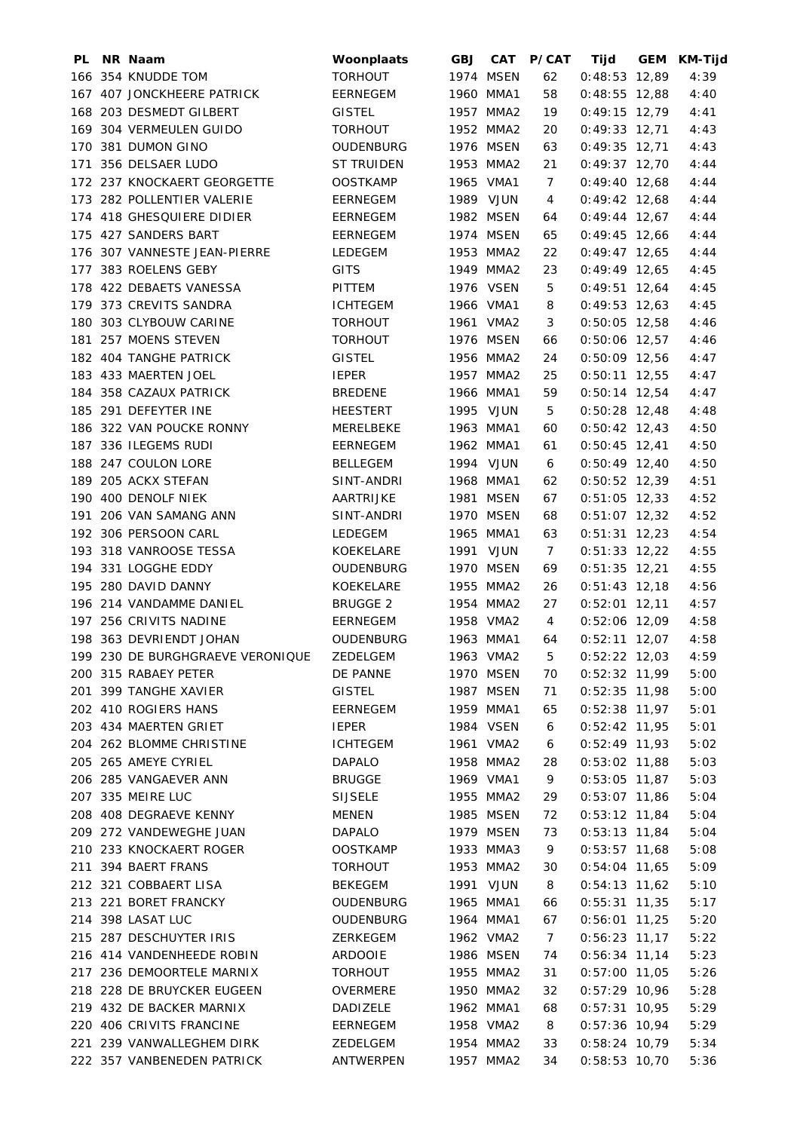| PL. | NR Naam                                                               | Woonplaats                  | <b>GBJ CAT</b>         | <b>P/CAT</b>         | Tijd                               | GEM KM-Tijd |
|-----|-----------------------------------------------------------------------|-----------------------------|------------------------|----------------------|------------------------------------|-------------|
|     | 166 354 KNUDDE TOM                                                    | <b>TORHOUT</b>              | 1974 MSEN              | 62                   | $0:48:53$ 12,89                    | 4:39        |
|     | 167 407 JONCKHEERE PATRICK                                            | EERNEGEM                    | 1960 MMA1              | 58                   | $0:48:55$ 12,88                    | 4:40        |
|     | 168 203 DESMEDT GILBERT                                               | <b>GISTEL</b>               | 1957 MMA2              | 19                   | $0:49:15$ 12,79                    | 4:41        |
|     | 169 304 VERMEULEN GUIDO                                               | <b>TORHOUT</b>              | 1952 MMA2              | 20                   | $0:49:33$ 12,71                    | 4:43        |
|     | 170 381 DUMON GINO                                                    | OUDENBURG                   | 1976 MSEN              | 63                   | $0:49:35$ 12,71                    | 4:43        |
|     | 171 356 DELSAER LUDO                                                  | ST TRUIDEN                  | 1953 MMA2              | 21                   | $0:49:37$ 12,70                    | 4:44        |
|     | 172 237 KNOCKAERT GEORGETTE                                           | OOSTKAMP                    | 1965 VMA1              | 7                    | $0:49:40$ 12,68                    | 4:44        |
|     | 173 282 POLLENTIER VALERIE                                            | EERNEGEM                    | 1989 VJUN              | 4                    | $0:49:42$ 12,68                    | 4:44        |
|     | 174 418 GHESQUIERE DIDIER                                             | EERNEGEM                    | 1982 MSEN              | 64                   | $0:49:44$ 12,67                    | 4:44        |
|     | 175 427 SANDERS BART                                                  | EERNEGEM                    | 1974 MSEN              | 65                   | $0:49:45$ 12,66                    | 4:44        |
|     | 176 307 VANNESTE JEAN-PIERRE                                          | LEDEGEM                     | 1953 MMA2              | 22                   | $0:49:47$ 12,65                    | 4:44        |
|     | 177 383 ROELENS GEBY                                                  | <b>GITS</b>                 | 1949 MMA2              | 23                   | $0:49:49$ 12,65                    | 4:45        |
|     | 178 422 DEBAETS VANESSA                                               | PITTEM                      | 1976 VSEN              | 5                    | $0:49:51$ 12,64                    | 4:45        |
|     | 179 373 CREVITS SANDRA                                                | ICHTEGEM                    | 1966 VMA1              | 8                    | $0:49:53$ 12,63                    | 4:45        |
|     | 180 303 CLYBOUW CARINE                                                | TORHOUT                     | 1961 VMA2              | 3                    | $0:50:05$ 12,58                    | 4:46        |
|     | 181 257 MOENS STEVEN                                                  | TORHOUT                     | 1976 MSEN              | 66                   | $0:50:06$ 12,57                    | 4:46        |
|     | 182 404 TANGHE PATRICK                                                | <b>GISTEL</b>               | 1956 MMA2              | 24                   | $0:50:09$ 12,56                    | 4:47        |
|     | 183 433 MAERTEN JOEL                                                  | <b>IEPER</b>                | 1957 MMA2              | 25                   | $0:50:11$ 12,55                    | 4:47        |
|     | 184 358 CAZAUX PATRICK                                                | BREDENE                     | 1966 MMA1              | 59                   | $0:50:14$ 12,54                    | 4:47        |
|     | 185 291 DEFEYTER INE                                                  | HEESTERT                    | 1995 VJUN              | 5                    | $0:50:28$ 12,48                    | 4:48        |
|     | 186 322 VAN POUCKE RONNY                                              | MERELBEKE                   | 1963 MMA1              | 60                   | $0:50:42$ 12,43                    | 4:50        |
|     | 187 336 ILEGEMS RUDI                                                  | EERNEGEM                    | 1962 MMA1              | 61                   | $0:50:45$ 12,41                    | 4:50        |
|     | 188 247 COULON LORE                                                   | BELLEGEM                    | 1994 VJUN              | 6                    | $0:50:49$ 12,40                    | 4:50        |
|     | 189 205 ACKX STEFAN                                                   | SINT-ANDRI                  | 1968 MMA1              | 62                   | $0:50:52$ 12,39                    | 4:51        |
|     | 190 400 DENOLF NIEK                                                   | AARTRIJKE                   | 1981 MSEN              | 67                   | $0:51:05$ 12,33                    | 4:52        |
|     | 191 206 VAN SAMANG ANN                                                | SINT-ANDRI                  | 1970 MSEN              | 68                   | $0:51:07$ 12,32                    | 4:52        |
|     | 192 306 PERSOON CARL                                                  | LEDEGEM                     | 1965 MMA1              | 63                   | $0:51:31$ 12,23                    | 4:54        |
|     | 193 318 VANROOSE TESSA                                                | KOEKELARE                   | 1991 VJUN              | $\overline{7}$       | $0:51:33$ 12,22                    | 4:55        |
|     | 194 331 LOGGHE EDDY                                                   |                             | 1970 MSEN              |                      |                                    | 4:55        |
|     |                                                                       | OUDENBURG                   | 1955 MMA2              | 69                   | $0:51:35$ 12,21                    |             |
|     | 195 280 DAVID DANNY<br>196 214 VANDAMME DANIEL                        | KOEKELARE                   |                        | 26                   | $0:51:43$ 12,18                    | 4:56        |
|     | 197 256 CRIVITS NADINE                                                | <b>BRUGGE 2</b><br>EERNEGEM | 1954 MMA2<br>1958 VMA2 | 27<br>$\overline{4}$ | $0:52:01$ 12,11<br>$0:52:06$ 12,09 | 4:57        |
|     |                                                                       |                             | 1963 MMA1              |                      | $0:52:11$ 12,07                    | 4:58        |
|     | 198 363 DEVRIENDT JOHAN<br>199 230 DE BURGHGRAEVE VERONIQUE  ZEDELGEM | OUDENBURG                   |                        | 64                   |                                    | 4:58        |
|     |                                                                       |                             |                        |                      | 1963 VMA2 5 0:52:22 12,03 4:59     |             |
|     | 200 315 RABAEY PETER                                                  | DE PANNE                    | 1970 MSEN              | 70                   | $0:52:32$ 11,99                    | 5:00        |
|     | 201 399 TANGHE XAVIER                                                 | <b>GISTEL</b>               | 1987 MSEN              | 71                   | $0:52:35$ 11,98                    | 5:00        |
|     | 202 410 ROGIERS HANS                                                  | EERNEGEM                    | 1959 MMA1              | 65                   | $0:52:38$ 11,97                    | 5:01        |
|     | 203 434 MAERTEN GRIET                                                 | <b>IEPER</b>                | 1984 VSEN              | 6                    | $0:52:42$ 11,95                    | 5:01        |
|     | 204 262 BLOMME CHRISTINE                                              | <b>ICHTEGEM</b>             | 1961 VMA2              | 6                    | $0:52:49$ 11,93                    | 5:02        |
|     | 205 265 AMEYE CYRIEL                                                  | <b>DAPALO</b>               | 1958 MMA2              | 28                   | $0:53:02$ 11,88                    | 5:03        |
|     | 206 285 VANGAEVER ANN                                                 | <b>BRUGGE</b>               | 1969 VMA1              | 9                    | $0:53:05$ 11,87                    | 5:03        |
|     | 207 335 MEIRE LUC                                                     | <b>SIJSELE</b>              | 1955 MMA2              | 29                   | $0:53:07$ 11,86                    | 5:04        |
|     | 208 408 DEGRAEVE KENNY                                                | <b>MENEN</b>                | 1985 MSEN              | 72                   | $0:53:12$ 11,84                    | 5:04        |
|     | 209 272 VANDEWEGHE JUAN                                               | <b>DAPALO</b>               | 1979 MSEN              | 73                   | $0:53:13$ 11,84                    | 5:04        |
|     | 210 233 KNOCKAERT ROGER                                               | <b>OOSTKAMP</b>             | 1933 MMA3              | 9                    | $0:53:57$ 11,68                    | 5:08        |
|     | 211 394 BAERT FRANS                                                   | <b>TORHOUT</b>              | 1953 MMA2              | 30                   | $0:54:04$ 11,65                    | 5:09        |
|     | 212 321 COBBAERT LISA                                                 | BEKEGEM                     | 1991 VJUN              | 8                    | $0:54:13$ 11,62                    | 5:10        |
|     | 213 221 BORET FRANCKY                                                 | OUDENBURG                   | 1965 MMA1              | 66                   | $0:55:31$ 11,35                    | 5:17        |
|     | 214 398 LASAT LUC                                                     | OUDENBURG                   | 1964 MMA1              | 67                   | $0:56:01$ 11,25                    | 5:20        |
|     | 215 287 DESCHUYTER IRIS                                               | ZERKEGEM                    | 1962 VMA2              | $\overline{7}$       | $0:56:23$ 11,17                    | 5:22        |
|     | 216 414 VANDENHEEDE ROBIN                                             | ARDOOIE                     | 1986 MSEN              | 74                   | $0:56:34$ 11,14                    | 5:23        |
|     | 217 236 DEMOORTELE MARNIX                                             | <b>TORHOUT</b>              | 1955 MMA2              | 31                   | $0:57:00$ 11,05                    | 5:26        |
|     | 218 228 DE BRUYCKER EUGEEN                                            | OVERMERE                    | 1950 MMA2              | 32                   | $0:57:29$ 10,96                    | 5:28        |
|     | 219 432 DE BACKER MARNIX                                              | DADIZELE                    | 1962 MMA1              | 68                   | $0:57:31$ 10,95                    | 5:29        |
|     | 220 406 CRIVITS FRANCINE                                              | EERNEGEM                    | 1958 VMA2              | 8                    | $0:57:36$ 10,94                    | 5:29        |
|     | 221 239 VANWALLEGHEM DIRK                                             | ZEDELGEM                    | 1954 MMA2              | 33                   | $0:58:24$ 10,79                    | 5:34        |
|     | 222 357 VANBENEDEN PATRICK                                            | ANTWERPEN                   | 1957 MMA2              | 34                   | $0:58:53$ 10,70                    | 5:36        |